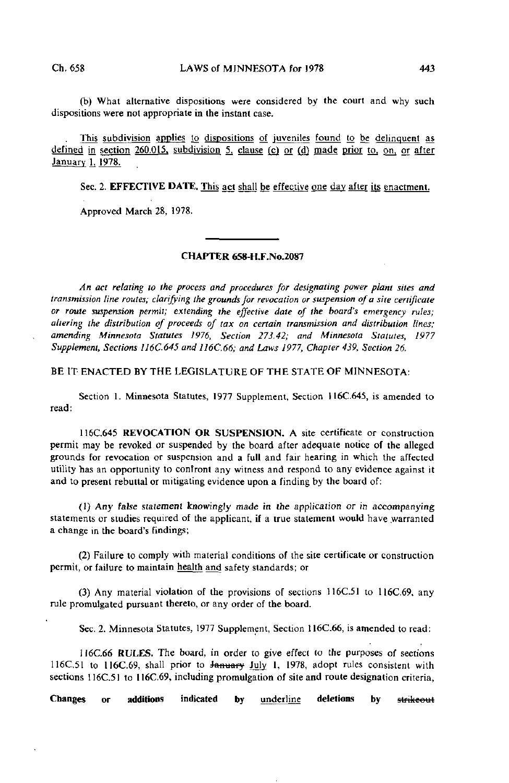(b) What alternative dispositions were considered by the court and why such dispositions were not appropriate in the instant case.

This subdivision applies to dispositions of juveniles found to be delinquent as defined in section 260.015, subdivision 5, clause (c) or (d) made prior to, on, or after January 1. 1978.

Sec. 2. EFFECTIVE DATE. This act shall be effective one day after its enactment.

Approved March 28, 1978.

## CHAPTER 658-H.F.N0.2087

An act relating to the process and procedures for designating power plant sites and transmission line routes; clarifying the grounds for revocation or suspension of a site certificate or route suspension permit; extending the effective dale of the board's emergency rules; altering the distribution of proceeds of tax on certain transmission and distribution lines; amending Minnesota Statutes 1976, Section 273.42; and Minnesota Statutes, 1977 Supplement, Sections 116C.645 and 116C.66; and Laws 1977, Chapter 439, Section 26.

BE IT ENACTED BY THE LEGISLATURE OF THE STATE OF MINNESOTA:

Section 1. Minnesota Statutes, 1977 Supplement, Section 116C.645, is amended to read:

116C.645 REVOCATION OR SUSPENSION. A site certificate or construction permit may be revoked or suspended by the board after adequate notice of the alleged grounds for revocation or suspension and a full and fair hearing in which the affected utility has an opportunity to confront any witness and respond to any evidence against it and to present rebuttal or mitigating evidence upon a finding by the board of:

(1) Any false statement knowingly made in the application or in accompanying statements or studies required of the applicant, if a true statement would have warranted a change in the board's findings;

(2) Failure to comply with material conditions of the site certificate or construction permit, or failure to maintain health and safety standards; or

(3) Any material violation of the provisions of sections 116C.51 to 116C.69, any rule promulgated pursuant thereto, or any order of the board.

Sec. 2. Minnesota Statutes, 1977 Supplement, Section 116C.66, is amended to read:

116C.66 RULES. The board, in order to give effect to the purposes of sections 116C.51 to 116C.69, shall prior to January July 1, 1978, adopt rules consistent with sections 116C.51 to 116C.69, including promulgation of site and route designation criteria,

Changes or additions indicated by underline deletions by strikeout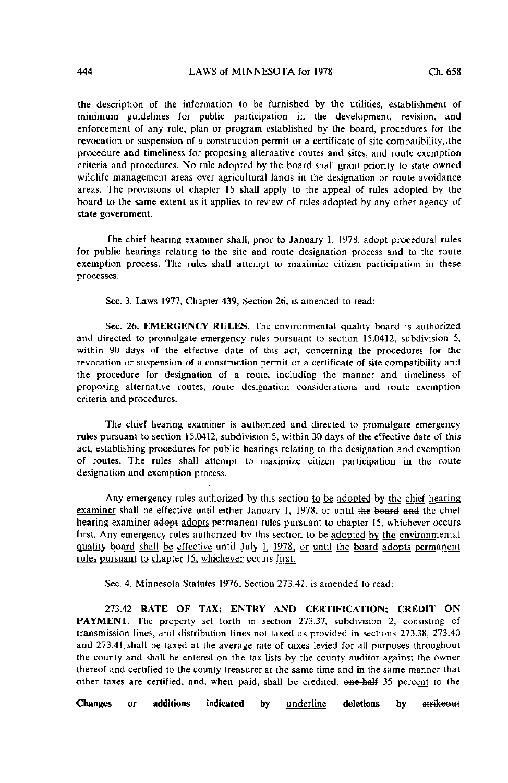the description of the information to be furnished by the utilities, establishment of minimum guidelines for public participation in the development, revision, and enforcement of any rule, plan or program established by the board, procedures for the revocation or suspension of a construction permit or a certificate of site compatibility,.the procedure and timeliness for proposing alternative routes and sites, and route exemption criteria and procedures. No rule adopted by the board shall grant priority to state owned wildlife management areas over agricultural lands in the designation or route avoidance areas. The provisions of chapter 15 shall apply to the appeal of rules adopted by the board to the same extent as it applies to review of rules adopted by any other agency of state government.

The chief hearing examiner shall, prior to January 1, 1978, adopt procedural rules for public hearings relating to the site and route designation process and to the route exemption process. The rules shall attempt to maximize citizen participation in these processes.

Sec. 3. Laws 1977, Chapter 439, Section 26, is amended to read:

Sec. 26. EMERGENCY RULES. The environmental quality board is authorized and directed to promulgate emergency rules pursuant to section 15.0412, subdivision 5, within 90 days of the effective date of this act, concerning the procedures for the revocation or suspension of a construction permit or a certificate of site compatibility and the procedure for designation of a route, including the manner and timeliness of proposing alternative routes, route designation considerations and route exemption criteria and procedures.

The chief hearing examiner is authorized and directed to promulgate emergency rules pursuant to section 15.0412, subdivision 5, within 30 days of the effective date of this act, establishing procedures for public hearings relating to the designation and exemption of routes. The rules shall attempt to maximize citizen participation in the route designation and exemption process.

Any emergency rules authorized by this section to be adopted by the chief hearing examiner shall be effective until either January 1, 1978, or until the board and the chief hearing examiner adopt adopts permanent rules pursuant to chapter 15, whichever occurs first. Any emergency rules authorized by this section to be adopted by the environmental quality board shall be effective until July 1, 1978, or until the board adopts permanent rules pursuant to chapter 15. whichever occurs first.

Sec. 4. Minnesota Statutes 1976, Section 273.42, is amended to read:

273.42 RATE OF TAX; ENTRY AND CERTIFICATION; CREDIT ON PAYMENT. The property set forth in section 273.37, subdivision 2, consisting of transmission lines, and distribution lines not taxed as provided in sections 273.38, 273.40 and 273.41.shall be taxed at the average rate of taxes levied for all purposes throughout the county and shall be entered on the tax lists by the county auditor against the owner thereof and certified to the county treasurer at the same time and in the same manner that other taxes are certified, and, when paid, shall be credited, one-half 35 percent to the

Changes or additions indicated by **underline** deletions by strikeout